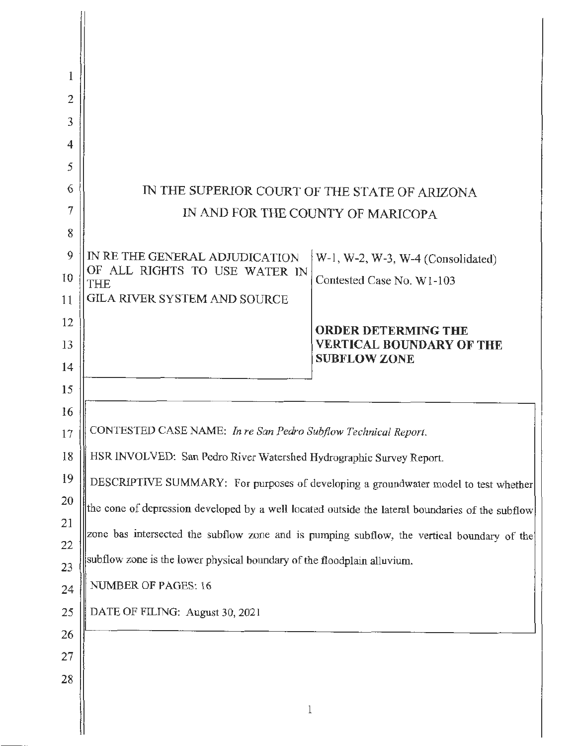| 1        |                                                                                                  |                                                                                     |  |
|----------|--------------------------------------------------------------------------------------------------|-------------------------------------------------------------------------------------|--|
| 2        |                                                                                                  |                                                                                     |  |
| 3        |                                                                                                  |                                                                                     |  |
| 4        |                                                                                                  |                                                                                     |  |
| 5        |                                                                                                  |                                                                                     |  |
| 6        | IN THE SUPERIOR COURT OF THE STATE OF ARIZONA                                                    |                                                                                     |  |
| 7        | IN AND FOR THE COUNTY OF MARICOPA                                                                |                                                                                     |  |
| 8        |                                                                                                  |                                                                                     |  |
| 9        | IN RE THE GENERAL ADJUDICATION                                                                   | W-1, W-2, W-3, W-4 (Consolidated)                                                   |  |
| 10       | OF ALL RIGHTS TO USE WATER IN<br><b>THE</b>                                                      | Contested Case No. W1-103                                                           |  |
| 11       | <b>GILA RIVER SYSTEM AND SOURCE</b>                                                              |                                                                                     |  |
| 12       |                                                                                                  | <b>ORDER DETERMING THE</b>                                                          |  |
| 13       |                                                                                                  | <b>VERTICAL BOUNDARY OF THE</b><br><b>SUBFLOW ZONE</b>                              |  |
| 14<br>15 |                                                                                                  |                                                                                     |  |
| 16       |                                                                                                  |                                                                                     |  |
| 17       | CONTESTED CASE NAME: In re San Pedro Subflow Technical Report.                                   |                                                                                     |  |
| 18       | HSR INVOLVED: San Pedro River Watershed Hydrographic Survey Report.                              |                                                                                     |  |
| 19       |                                                                                                  | DESCRIPTIVE SUMMARY: For purposes of developing a groundwater model to test whether |  |
| 20       | the cone of depression developed by a well located outside the lateral boundaries of the subflow |                                                                                     |  |
| 21       | zone bas intersected the subflow zone and is pumping subflow, the vertical boundary of the       |                                                                                     |  |
| 22<br>23 | subflow zone is the lower physical boundary of the floodplain alluvium.                          |                                                                                     |  |
| 24       | NUMBER OF PAGES: 16                                                                              |                                                                                     |  |
| 25       | DATE OF FILING: August 30, 2021                                                                  |                                                                                     |  |
| 26       |                                                                                                  |                                                                                     |  |
| 27       |                                                                                                  |                                                                                     |  |
| 28       |                                                                                                  |                                                                                     |  |
|          | 1                                                                                                |                                                                                     |  |
|          |                                                                                                  |                                                                                     |  |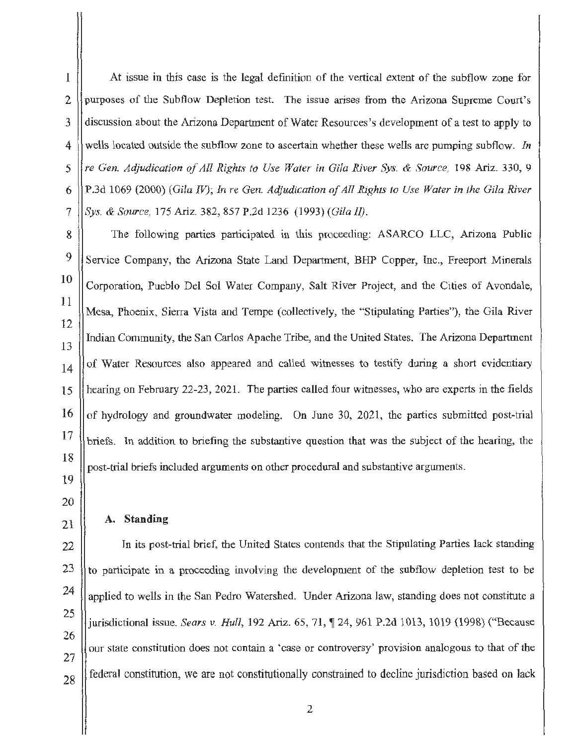l

2

3

4

5

6

7

8

9

11

At issue in this case is the legal definition of the vertical extent of the subflow zone for purposes of the Subflow Depletion test. The issue arises from the Arizona Supreme Court's discussion about the Arizona Department of Water Resources's development of a test to apply to wells located outside the subflow zone to ascertain whether these wells are pumping subflow. In *re Gen. Acfjudication of All Rights to Use Water in Gila River Sys.* & *Source,* 198 Ariz. 330, 9 P.3d 1069 (2000) *(Gila* IV); *In re Gen. Adjudication of All Rights to Use Water in the Gila River Sys.* & *Source,* 175 Ariz. 382, 857 P.2d 1236 (1993) *(Gila JI).* 

10 12 13 14 15 16 17 18 The following parties participated in this proceeding: ASARCO LLC, Arizona Public Service Company, the Arizona State Land Department, BHP Copper, Inc., Freeport Minerals Corporation, Pueblo Del Sol Water Company, Salt River Project, and the Cities of Avondale, Mesa, Phoenix, Sierra Vista and Tempe (collectively, the "Stipulating Parties"), the Gila River Indian Community, the San Carlos Apache Tribe, and the United States. The Arizona Department of Water Resources also appeared and called witnesses to testify during a short evidentiary hearing on February 22-23, 2021. The parties called four witnesses, who are experts in the fields of hydrology and groundwater modeling. On June 30, 2021, the parties submitted post-trial briefs. In addition to briefing the substantive question that was the subject of the bearing, the post-trial briefs included arguments on other procedural and substantive arguments.

19 20

21

## A. **Standing**

22 23 24 25 26 27 28 In its post-trial brief, the United States contends that the Stipulating Parties lack standing to participate in a proceeding involving the development of the subflow depletion test to be applied to wells in the San Pedro Watershed. Under Arizona law, standing does not constitute a jurisdictional issue. *Sears v. Hull*, 192 Ariz. 65, 71, ¶ 24, 961 P.2d 1013, 1019 (1998) ("Because our state constitution does not contain a 'case or controversy' provision analogous to that of the federal constitution, we are not constitutionally constrained to decline jurisdiction based on lack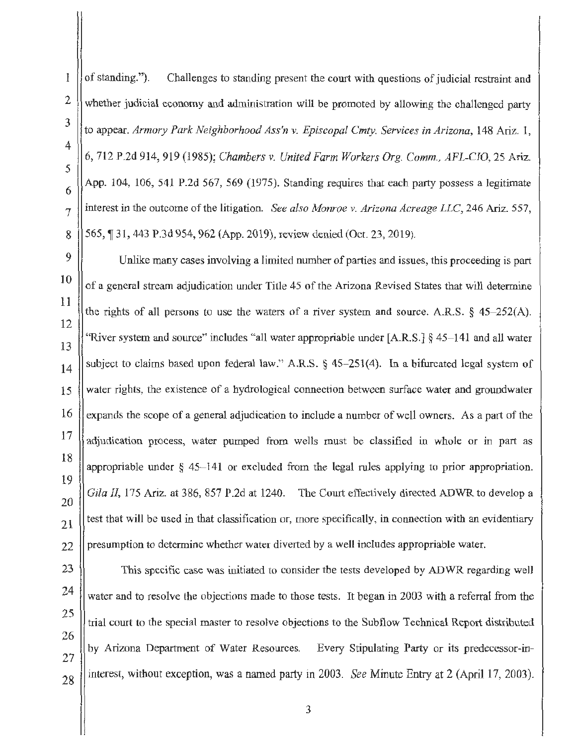I of standing."). Challenges to standing present the court with questions of judicial restraint and whether judicial economy and administration will be promoted by allowing the challenged party to appear. *Armory Park Neighborhood Ass'n v. Episcopal Cmty. Services in Arizona,* 148 Ariz. 1, 6, 712 P.2d 914, 919 (1985); *Chambers v. United Farm Workers Org. Comm., AFL-CJO,* 25 Ariz. App. 104, 106, 541 P.2d 567, 569 (1975). Standing requires that each party possess a legitimate interest in the outcome of the litigation. *See also Monroe v. Arizona Acreage LLC,* 246 Ariz. 557, 565, ¶ 31, 443 P.3d 954, 962 (App. 2019), review denied (Oct. 23, 2019).

Unlike many cases involving a limited number of parties and issues, this proceeding is part of a general stream adjudication under Title 45 of the Arizona Revised States that will determine the rights of all persons to use the waters of a river system and source. A.R.S.  $\frac{645-252}{A}$ . "River system and source" includes "all water appropriable under [A.R.S.] § 45-141 and all water subject to claims based upon federal law." A.R.S. § 45-251(4). In a bifurcated legal system of water rights, the existence of a hydrological connection between surface water and groundwater expands the scope of a general adjudication to include a number of well owners. As a part of the adjudication process, water pumped from wells must be classified in whole or in part as appropriable under § 45- 141 or excluded from the legal rules applying to prior appropriation. *Gila II,* 175 Ariz. at 386, 857 P.2d at 1240. The Court effectively directed ADWR to develop a test that will be used in that classification or, more specifically, in connection with an evidentiary presumption to determine whether water diverted by a well includes appropriable water.

This specific case was initiated to consider the tests developed by ADWR regarding well water and to resolve the objections made to those tests. It began in 2003 with a referral from the trial court to the special master to resolve objections to the Subflow Technical Report distributed by Arizona Department of Water Resources. Every Stipulating Party or its predecessor-ininterest, without exception, was a named party in 2003. *See* Minute Entry at 2 (April 17, 2003).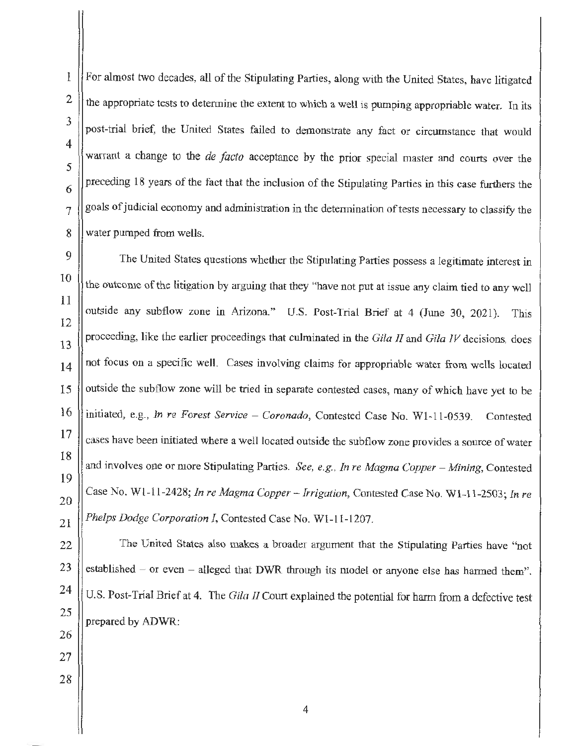For almost two decades, all of the Stipulating Parties, along with the United States, have litigated the appropriate tests to determine the extent to which a well is pumping appropriable water. In its post-trial brief, the United States failed to demonstrate any fact or circumstance that would warrant a change to the *de facto* acceptance by the prior special master and courts over the preceding 18 years of the fact that the inclusion of the Stipulating Parties in this case furthers the goals of judicial economy and administration in the determination of tests necessary to classify the water pumped from wells.

The United States questions whether the Stipulating Parties possess a legitimate interest in the outcome of the litigation by arguing that they "have not put at issue any claim tied to any well outside any subflow zone in Arizona." U.S. Post-Trial Brief at 4 (June 30, 2021). This proceeding, like the earlier proceedings that culminated in the *Gila II* and *Gila IV* decisions, does not focus on a specific well. Cases involving claims for appropriable water from wells located outside the subflow zone will be tried in separate contested cases, many of which have yet to be 16 initiated, e.g., *In re Forest Service – Coronado*, Contested Case No. W1-11-0539. Contested cases have been initiated where a well located outside the subflow zone provides a source of water and involves one or more Stipulating Parties. *See, e.g., In re Magma Copper - Mining*, Contested Case No. Wl-11-2428; *In re Magma Copper* - *Irrigation,* Contested Case No. Wl-11-2503; *In re Phelps Dodge Corporation I,* Contested Case No. Wl-11-1207.

The United States also makes a broader argument that the Stipulating Parties have "not established  $-$  or even  $-$  alleged that DWR through its model or anyone else has harmed them". U.S. Post-Trial Brief at 4. The *Gila 11* Court explained the potential for harm from a defective test prepared by ADWR: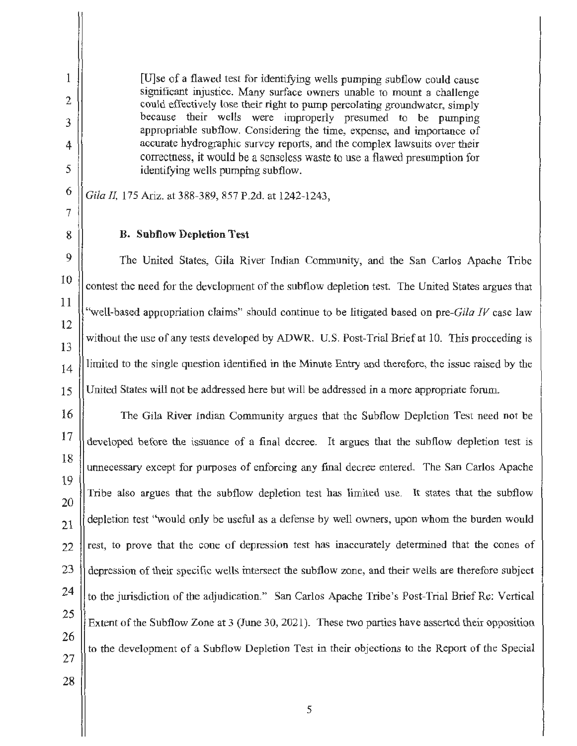[U]se of a flawed test for identifying wells pumping subflow could cause significant injustice. Many surface owners unable to mount a challenge could effectively lose their right to pump percolating groundwater, simply because their wells were improperly presumed to be pumping appropriable subflow. Considering the time, expense, and importance of accurate hydrographic survey reports, and the complex lawsuits over their correctness, it would be a senseless waste to use a flawed presumption for identifying wells pumping subflow.

*Gila* fl, 175 Ariz. at 388-389, 857 P.2d. at 1242-1243,

## **B. Subflow Depletion Test**

The United States, Gila River Indian Communjty, and the San Carlos Apache Tribe contest the need for the development of the subflow depletion test. The United States argues that "well-based appropriation claims" should continue to be litigated based on *pre-Gila IV* case law without the use of any tests developed by ADWR. U.S. Post-Trial Brief at 10. This proceeding is limited to the single question identified in the Minute Entry and therefore, the issue raised by the United States will not be addressed here but will be addressed in a more appropriate forum.

16 17 18 19 20 21 22 23 24 26 The Gila River Indian Community argues that the Subflow Depletion Test need not be developed before the issuance of a final decree. It argues that the subflow depletion test is unnecessary except for purposes of enforcing any final decree entered. The San Carlos Apache Tribe also argues that the subflow depletion test has limited use. It states that the subflow depletion test "would only be useful as a defense by well owners, upon whom the burden would rest, to prove that the cone of depression test bas inaccurately determined that the cones of depression of their specific wells intersect the subflow zone, and their wells are therefore subject to the jurisdiction of the adjudication." San Carlos Apache Tribe's Post-Trial Brief Re: Vertical Extent of the Subflow Zone at 3 (June 30, 2021). These two parties have asserted their opposition to the development of a Subflow Depletion Test in their objections to the Report of the Special

25 27 28

1

2

3

4

5

6

7

8

9

10

11

12

13

14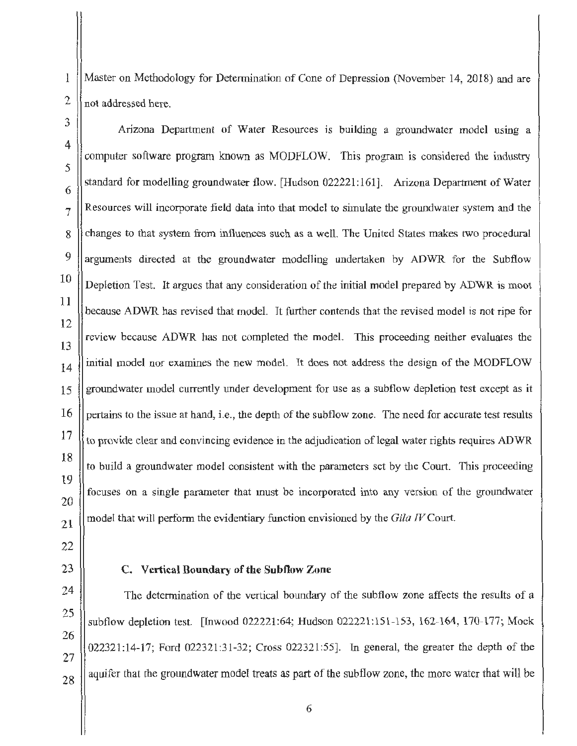Master on Methodology for Determination of Cone of Depression (November 14, 2018) and are not addressed here.

Arizona Department of Water Resources is building a groundwater model using a computer software program known as MODFLOW. This program is considered the industry standard for modelling groundwater flow. [Hudson 022221 : 161]. Arizona Department of Water Resources will incorporate field data into that model to simulate the groundwater system and the changes to that system from influences such as a well. The United States makes two procedural arguments directed at the groundwater modelling undertaken by ADWR for the Subflow Depletion Test. It argues that any consideration of the initial model prepared by ADWR is moot because ADWR has revised that model. It further contends that the revised model is not ripe for review because ADWR has not completed the model. This proceeding neither evaluates the initial model nor examines the new model. It does not address the design of the MODFLOW groundwater model currently under development for use as a subflow depletion test except as it pertains to the issue at hand, i.e., the depth of the subflow zone. The need for accurate test results to provide clear and convincing evidence in the adjudication of legal water rights requires ADWR to build a groundwater model consistent with the parameters set by the Court. This proceeding focuses on a single parameter that must be incorporated into any version of the groundwater model that will perform the evidentiary function envisioned by the *Gila IV* Court.

## **C. Vertical Boundary of the Subflow Zone**

The determination of the vertical boundary of the subflow zone affects the results of a subflow depletion test. [Inwood 022221:64; Hudson 022221:151-153, 162-164, 170-177; Mock 022321:14-17; Ford 022321:31-32; Cross 022321:55]. In general, the greater the depth of the aquifer that the groundwater model treats as part of the subflow zone, the more water that will be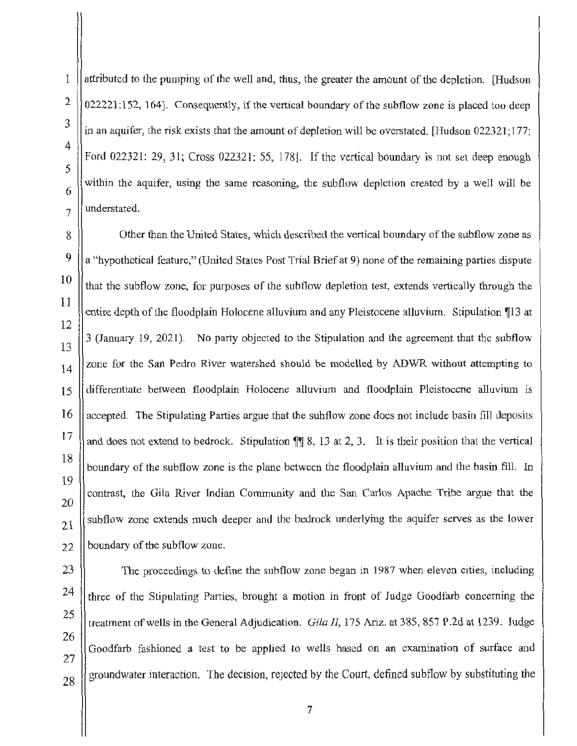attributed to the pumping of the well and, thus, the greater the amount of the depletion. [Hudson  $022221:152$ , 164]. Consequently, if the vertical boundary of the subflow zone is placed too deep in an aquifer, the risk exists that the amount of depletion will be overstated. [Hudson 022321; 177; Ford 022321: 29, 31; Cross 022321: 55, 178]. If the vertical boundary is not set deep enough within the aquifer, using the same reasoning, the subflow depletion created by a well will be understated.

Other than the United States, which described the vertical boundary of the subflow zone as a "hypothetical feature," (United States Post Trial Brief at 9) none of the remaining parties dispute that the subflow zone, for purposes of the subflow depletion test, extends vertically through the entire depth of the floodplain Holocene alluvium and any Pleistocene alluvium. Stipulation 113 at 3 (January 19, 2021). No party objected to the Stipulation and the agreement that the subflow zone for the San Pedro River watershed should be modelled by ADWR without attempting to differentiate between floodplain Holocene alluvium and floodplain Pleistocene alluvium is accepted. The Stipulating Parties argue that the subflow zone does not include basin fill deposits and does not extend to bedrock. Stipulation  $\P\P$  8, 13 at 2, 3. It is their position that the vertical boundary of the subflow zone is the plane between the floodplain alluvium and the basin fill. In contrast, the Gila River Indian Community and the San Carlos Apache Tribe argue that the subflow zone extends much deeper and the bedrock underlying the aquifer serves as the lower boundary of the subflow zone.

28

The proceedings to define the subflow zone began in 1987 when eleven cities, including three of the Stipulating Parties, brought a motion in front of Judge Goodfarb concerning the treatment of wells in the General Adjudication. *Gila II,* 175 Ariz. at 385, 857 P.2d at 1239. Judge Goodfarb fashioned a test to be applied to wells based on an examination of surface and groundwater interaction. The decision, rejected by the Court, defined subflow by substituting the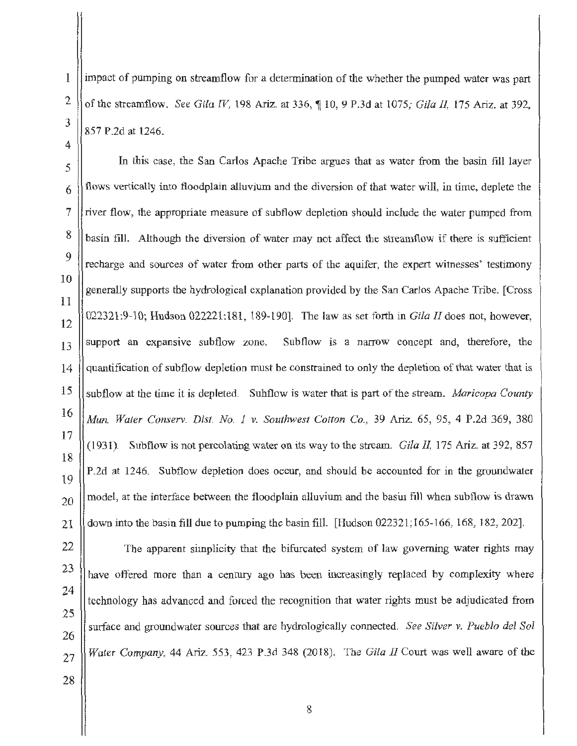impact of pumping on streamflow for a determination of the whether the pumped water was part of the streamflow. *See Gila IV*, 198 Ariz. at 336, ¶ 10, 9 P.3d at 1075; *Gila II*, 175 Ariz. at 392, 857 P.2d at 1246.

In this case, the San Carlos Apache Tribe argues that as water from the basin fill layer flows vertically into floodplain alluvium and the diversion of that water will, in time, deplete the river flow, the appropriate measure of subflow depletion should include the water pumped from basin fill. Although the diversion of water may not affect the streamflow if there is sufficient recharge and sources of water from other parts of the aquifer, the expert witnesses' testimony generally supports the hydrological explanation provided by the San Carlos Apache Tribe. [Cross 022321:9-10; Hudson 022221:181 , 189-190]. The law as set forth in *Gila II* does not, however,  $13$  support an expansive subflow zone. Subflow is a narrow concept and, therefore, the quantification of subflow depletion must be constrained to only the depletion of that water that is subflow at the time it is depleted. Subflow is water that is part of the stream. *Maricopa County Mun. Water Conserv. Dist. No. 1 v. Southwest Cotton Co.,* 39 Ariz. 65, 95, 4 P.2d 369, 380 (1931). Subflow is not percolating water on its way to the stream. *Gila 11,* 175 Ariz. at 392, 857 P.2d at 1246. Subflow depletion does occur, and should be accounted for in the groundwater model, at the interface between the floodplain alluvium and the basin fill when subflow is drawn down into the basin fill due to pumping the basin fill. [Hudson 022321;165-166, 168, 182, 202).

The apparent simplicity that the bifurcated system of law governing water rights may have offered more than a century ago has been increasingly replaced by complexity where technology has advanced and forced the recognition that water rights must be adjudicated from surface and groundwater sources that are hydrologically connected. *See Silver v. Pueblo del Sol Water Company,* 44 Ariz. 553, 423 P.3d 348 (2018). The *Gila 11* Court was well aware of the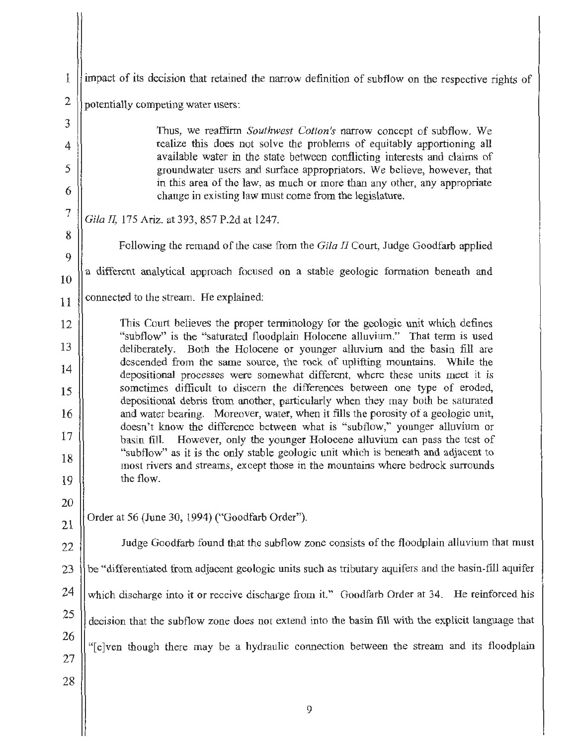| 1              | impact of its decision that retained the narrow definition of subflow on the respective rights of                                                                                                                                                                                                                                                                                                                                                                                                                                                                                                                                                            |  |
|----------------|--------------------------------------------------------------------------------------------------------------------------------------------------------------------------------------------------------------------------------------------------------------------------------------------------------------------------------------------------------------------------------------------------------------------------------------------------------------------------------------------------------------------------------------------------------------------------------------------------------------------------------------------------------------|--|
| 2              | potentially competing water users:                                                                                                                                                                                                                                                                                                                                                                                                                                                                                                                                                                                                                           |  |
| 3              | Thus, we reaffirm Southwest Cotton's narrow concept of subflow. We                                                                                                                                                                                                                                                                                                                                                                                                                                                                                                                                                                                           |  |
| 4              | realize this does not solve the problems of equitably apportioning all<br>available water in the state between conflicting interests and claims of                                                                                                                                                                                                                                                                                                                                                                                                                                                                                                           |  |
| 5<br>6         | groundwater users and surface appropriators. We believe, however, that<br>in this area of the law, as much or more than any other, any appropriate<br>change in existing law must come from the legislature.                                                                                                                                                                                                                                                                                                                                                                                                                                                 |  |
| $\overline{7}$ | Gila II, 175 Ariz. at 393, 857 P.2d at 1247.                                                                                                                                                                                                                                                                                                                                                                                                                                                                                                                                                                                                                 |  |
| 8              | Following the remand of the case from the Gila II Court, Judge Goodfarb applied                                                                                                                                                                                                                                                                                                                                                                                                                                                                                                                                                                              |  |
| 9              |                                                                                                                                                                                                                                                                                                                                                                                                                                                                                                                                                                                                                                                              |  |
| 10             | a different analytical approach focused on a stable geologic formation beneath and                                                                                                                                                                                                                                                                                                                                                                                                                                                                                                                                                                           |  |
| 11             | connected to the stream. He explained:                                                                                                                                                                                                                                                                                                                                                                                                                                                                                                                                                                                                                       |  |
| 12             | This Court believes the proper terminology for the geologic unit which defines                                                                                                                                                                                                                                                                                                                                                                                                                                                                                                                                                                               |  |
| 13             | "subflow" is the "saturated floodplain Holocene alluvium." That term is used<br>deliberately. Both the Holocene or younger alluvium and the basin fill are<br>descended from the same source, the rock of uplifting mountains. While the<br>depositional processes were somewhat different, where these units meet it is<br>sometimes difficult to discern the differences between one type of eroded,<br>depositional debris from another, particularly when they may both be saturated<br>and water bearing. Moreover, water, when it fills the porosity of a geologic unit,<br>doesn't know the difference between what is "subflow," younger alluvium or |  |
| 14             |                                                                                                                                                                                                                                                                                                                                                                                                                                                                                                                                                                                                                                                              |  |
| 15             |                                                                                                                                                                                                                                                                                                                                                                                                                                                                                                                                                                                                                                                              |  |
| 16             |                                                                                                                                                                                                                                                                                                                                                                                                                                                                                                                                                                                                                                                              |  |
| 17             | However, only the younger Holocene alluvium can pass the test of<br>basin fill.<br>"subflow" as it is the only stable geologic unit which is beneath and adjacent to                                                                                                                                                                                                                                                                                                                                                                                                                                                                                         |  |
| 18             | most rivers and streams, except those in the mountains where bedrock surrounds                                                                                                                                                                                                                                                                                                                                                                                                                                                                                                                                                                               |  |
| 19             | the flow.                                                                                                                                                                                                                                                                                                                                                                                                                                                                                                                                                                                                                                                    |  |
| 20<br>21       | Order at 56 (June 30, 1994) ("Goodfarb Order").                                                                                                                                                                                                                                                                                                                                                                                                                                                                                                                                                                                                              |  |
| 22             | Judge Goodfarb found that the subflow zone consists of the floodplain alluvium that must                                                                                                                                                                                                                                                                                                                                                                                                                                                                                                                                                                     |  |
| 23             | be "differentiated from adjacent geologic units such as tributary aquifers and the basin-fill aquifer                                                                                                                                                                                                                                                                                                                                                                                                                                                                                                                                                        |  |
| 24             | which discharge into it or receive discharge from it." Goodfarb Order at 34. He reinforced his                                                                                                                                                                                                                                                                                                                                                                                                                                                                                                                                                               |  |
| 25             |                                                                                                                                                                                                                                                                                                                                                                                                                                                                                                                                                                                                                                                              |  |
| 26             | decision that the subflow zone does not extend into the basin fill with the explicit language that                                                                                                                                                                                                                                                                                                                                                                                                                                                                                                                                                           |  |
| 27             | "[e]ven though there may be a hydraulic connection between the stream and its floodplain                                                                                                                                                                                                                                                                                                                                                                                                                                                                                                                                                                     |  |
| 28             |                                                                                                                                                                                                                                                                                                                                                                                                                                                                                                                                                                                                                                                              |  |
|                | 9                                                                                                                                                                                                                                                                                                                                                                                                                                                                                                                                                                                                                                                            |  |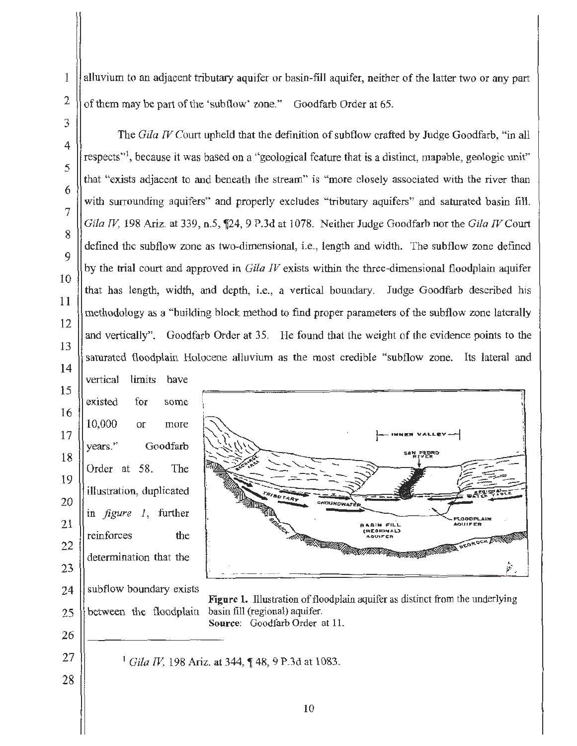alluvium to an adjacent tributary aquifer or basin-fill aquifer, neither of the latter two or any part of them may be part of the 'subflow' zone." Goodfarb Order at 65.

respects"', because it was based on a "geological feature that is a distinct, mapable, geologic unit"

that "exists adjacent to and beneath the stream" is "more closely associated with the river than

with surrounding aquifers" and properly excludes "tributary aquifers" and saturated basin fill.

The *Gila IV* Court upheld that the definition of subflow crafted by Judge Goodfarb, "in all

1

Order at 58. The

illustration, duplicated

in *figure* 1, further

reinforces the

determination that the

subflow boundary exists

28

*Gila IV*, 198 Ariz. at 339, n.5, 124, 9 P.3d at 1078. Neither Judge Goodfarb nor the *Gila IV* Court defined the subflow zone as two-dimensional, i.e., length and width. The subflow zone defined by the trial court and approved in *Gila IV* exists within the three-dimensional floodplain aquifer that has length, width, and depth, i.e., a vertical boundary. Judge Goodfarb described his methodology as a "building block method to find proper parameters of the subflow zone laterally and vertically". Goodfarb Order at 35. He found that the weight of the evidence points to the saturated floodplain Holocene alluvium as the most credible "subflow zone. Its lateral and vertical limits have existed for some 10,000 or more years." Goodfarb **INNER VALLE** 



Figure 1. Illustration of floodplain aquifer as distinct from the underlying between the floodplain basin fill (regional) aquifer. Source: Goodfarb Order at 11.

 $1$  *Gila IV*, 198 Ariz. at 344, ¶ 48, 9 P.3d at 1083.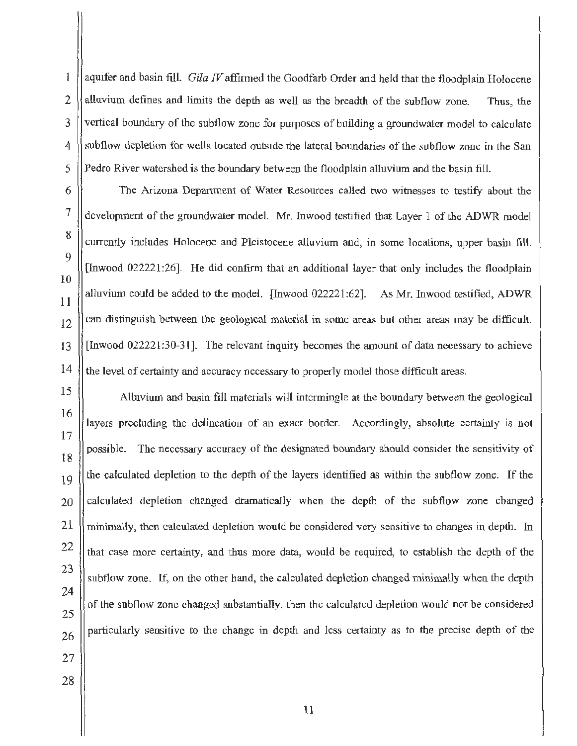1 2 3 4 5 6 7 8  $\mathbf Q$ aquifer and basin fill. Gila IV affirmed the Goodfarb Order and held that the floodplain Holocene alluvium defines and limits the depth as well as the breadth of the subflow zone. Thus, the vertical boundary of the subflow zone for purposes of building a groundwater model to calculate subflow depletion for wells located outside the lateral boundaries of the subflow zone in the San Pedro River watershed is the boundary between the floodplain alluvium and the basin fill. The Arizona Department of Water Resources called two witnesses to testify about the development of the groundwater model. Mr. Inwood testified that Layer 1 of the ADWR model

currently includes Holocene and Pleistocene alluvium and, in some locations, upper basin fill. [Inwood 022221:26]. He did confirm that an additional layer that only includes the floodplain alluvium could be added to the model. [Inwood 022221:62]. As Mr. Inwood testified, ADWR can distinguish between the geological material in some areas but other areas may be difficult [Inwood 022221:30-31]. The relevant inquiry becomes the amount of data necessary to achieve the level of certainty and accuracy necessary to properly model those difficult areas.

15 16 17 18 19 20 Alluvium and basin fill materials will intermingle at the boundary between the geological layers precluding the delineation of an exact border. Accordingly, absolute certainty is not possible. The necessary accuracy of the designated boundary should consider the sensitivity of the calculated depletion to the depth of the layers identified as within the subflow zone. If the calculated depletion changed dramatically when the depth of the subflow zone changed minimally, then calculated depletion would be considered very sensitive to changes in depth. In that case more certainty, and thus more data, would be required, to establish the depth of the subflow zone. If, on the other hand, the calculated depletion changed minimally when the depth of the subflow zone changed substantially, then the calculated depletion would not be considered particularly sensitive to the change in depth and less certainty as to the precise depth of the

10

11

12

 $13$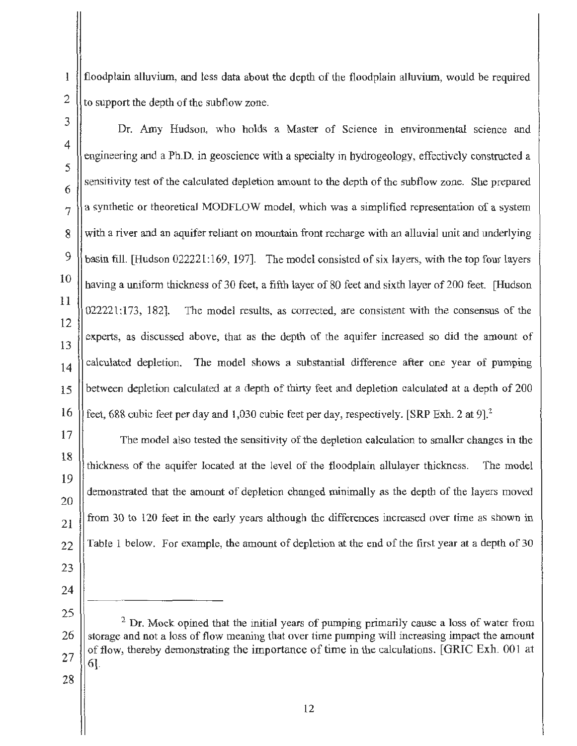floodplain alluvium, and less data about the depth of the floodplain alluvium, would be required to support the depth of the subflow zone.

Dr. Amy Hudson, who holds a Master of Science in environmental science and engineering and a Ph.D. in geoscience with a specialty in hydrogeology, effectively constructed a sensitivity test of the calculated depletion amount to the depth of the subflow zone. She prepared a synthetic or theoretical MODFLOW model, which was a simplified representation of a system with a river and an aquifer reliant on mountain front recharge with an alluvial unit and underlying basin fill. [Hudson 022221:169, 197]. The model consisted of six layers, with the top four layers having a uniform thickness of 30 feet, a fifth layer of 80 feet and sixth layer of 200 feet. [Hudson  $022221:173$ , 182]. The model results, as corrected, are consistent with the consensus of the experts, as discussed above, that as the depth of the aquifer increased so did the amount of calculated depletion. The model shows a substantial difference after one year of pumping between depletion calculated at a depth of thirty feet and depletion calculated at a depth of 200 feet, 688 cubic feet per day and 1,030 cubic feet per day, respectively. [SRP Exh. 2 at 9).<sup>2</sup>

The model also tested the sensitivity of the depletion calculation to smaller changes in the thickness of the aquifer located at the level of the floodplain allulayer thickness. The model demonstrated that the amount of depletion changed minimally as the depth of the layers moved from 30 to 120 feet in the early years although the differences increased over time as shown in Table 1 below. For example, the amount of depletion at the end of the first year at a depth of 30

- 
- 

<sup>&</sup>lt;sup>2</sup> Dr. Mock opined that the initial years of pumping primarily cause a loss of water from storage and not a loss of flow meaning that over time pumping will increasing impact the amount of flow, thereby demonstrating the importance of time in the calculations. [GRIC Exh. 001 at 6].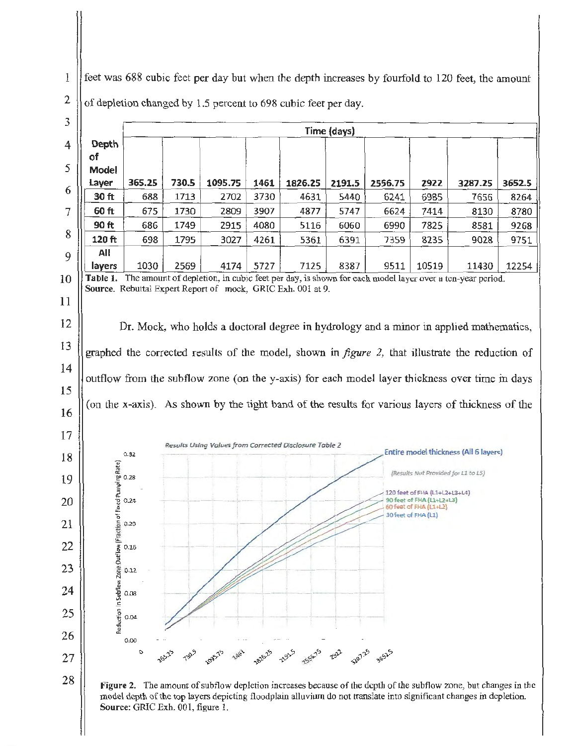1 2 feet was 688 cubic feet per day but when the depth increases by fourfold to 120 feet, the amount of depletion changed by 1.5 percent to 698 cubic feet per day.



Figure 2. The amount of subflow depletion increases because of the depth of the subflow zone, but changes in the model depth of the top layers depicting floodplain alluvium do not translate into significant changes in depletion. Source: GRIC Exh. 001, figure 1.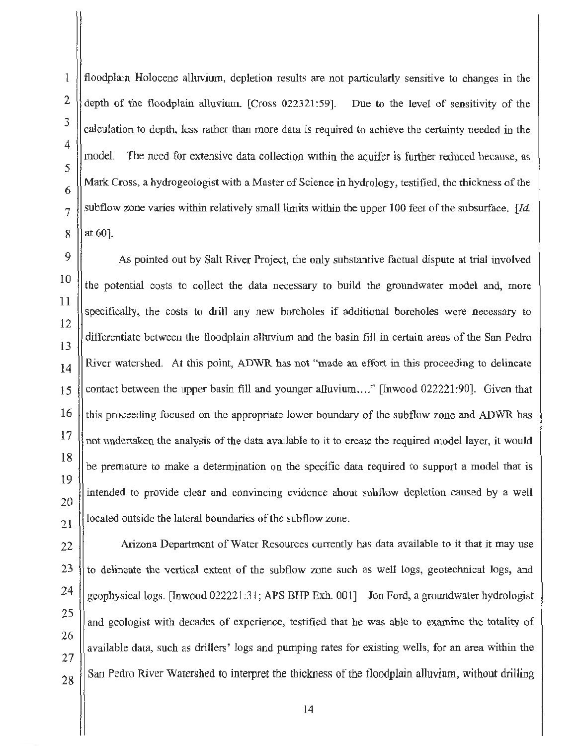floodplain Holocene alluvium, depletion results are not particularly sensitive to changes in the depth of the floodplain alluvium. [Cross 022321 :59]. Due to the level of sensitivity of the calculation to depth, less rather than more data is required to achieve the certainty needed in the model. The need for extensive data collection within the aquifer is further reduced because, as Mark Cross, a hydrogeologist with a Master of Science in hydrology, testified, the thickness of the subflow zone varies within relatively small limits within the upper 100 feet of the subsurface.  $Id$ . at 60].

As pointed out by Salt River Project, the only substantive factual dispute at trial involved the potential costs to collect the data necessary to build the groundwater model and, more specifically, the costs to drill any new boreholes if additional boreholes were necessary to differentiate between the floodplain alluvium and the basin fill in certain areas of the San Pedro River watershed. At this point, ADWR has not "made an effort in this proceeding to delineate contact between the upper basin fill and younger alluvium...." [Inwood 022221:90]. Given that this proceeding focused on the appropriate lower boundary of the subflow zone and ADWR has not undertaken the analysis of the data available to it to create the required model layer, it would be premature to make a determination on the specific data required to support a model that is intended to provide clear and convincing evidence about subflow depletion caused by a well located outside the lateral boundaries of the subflow zone.

Arizona Department of Water Resources currently has data available to it that it may use to delineate the vertical extent of the subflow zone such as well logs, geotechnical logs, and geophysical logs. [Inwood 022221:31; APS BHP Exh. 001] Jon Ford, a growidwater hydrologist and geologist with decades of experience, testified that he was able to examine the totality of available data, such as drillers' logs and pumping rates for existing wells, for an area within the San Pedro River Watershed to interpret the thickness of the floodplain alluvium, without drilling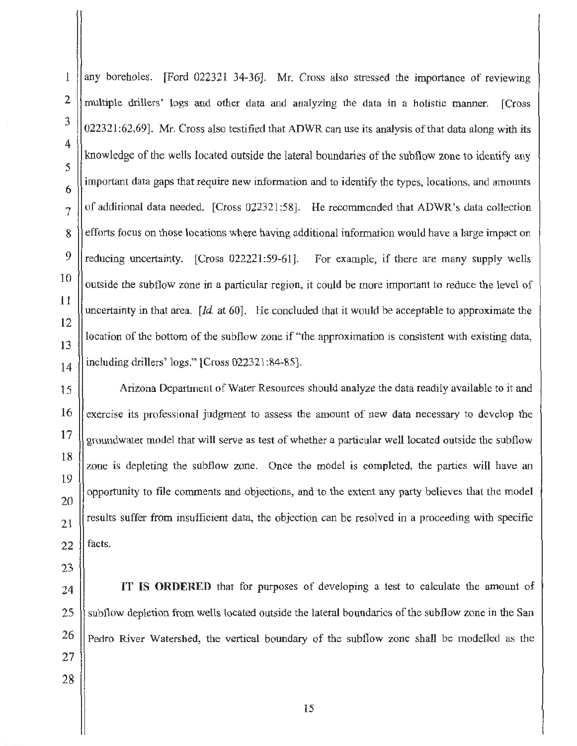any boreholes. [Ford 022321 34-36]. Mr. Cross also stressed the importance of reviewing multiple drillers' logs and other data and analyzing the data in a holistic manner. [Cross 022321:62,69]. Mr. Cross also testified that ADWR can use its analysis of that data along with its knowledge of the wells located outside the lateral boundaries of the subflow zone to identify any important data gaps that require new information and to identify the types, locations, and amounts of additional data needed. [Cross 022321:58]. He recommended that ADWR's data collection efforts focus on those locations where having additional information would have a large impact on reducing uncertainty. [Cross 022221:59-61]. For example, if there are many supply wells outside the subflow zone in a particular region, it could be more important to reduce the level of uncertainty in that area. *[Id.* at 60]. He concluded that it would be acceptable to approximate the location of the bottom of the subflow zone if "the approximation is consistent with existing data, including drillers' logs." [Cross 022321 :84-85].

15 16 17 18 19 20 21 22 Arizona Department of Water Resources should analyze the data readily available to it and exercise its professional judgment to assess the amount of new data necessary to develop the groundwater model that will serve as test of whether a particular well located outside the subflow zone is depleting the subflow zone. Once the model is completed, the parties will have an opportunity to file comments and objections, and to the extent any party believes that the model results suffer from insufficient data, the objection can be resolved in a proceeding with specific facts.

23

1

2

3

4

5

6

7

8

 $\mathbf Q$ 

10

11

12

13

14

24 25 26 27 IT IS **ORDERED** that for purposes of developing a test to calculate the amount of subflow depletion from wells located outside the lateral boundaries of the subflow zone in the San Pedro River Watershed, the vertical boundary of the subtlow zone shall be modelled as the